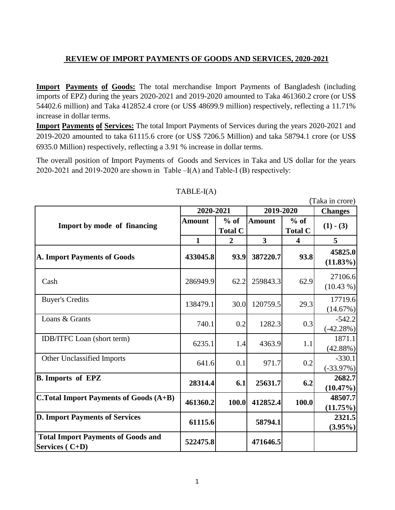## **REVIEW OF IMPORT PAYMENTS OF GOODS AND SERVICES, 2020-2021**

**Import Payments of Goods:** The total merchandise Import Payments of Bangladesh (including imports of EPZ) during the years 2020-2021 and 2019-2020 amounted to Taka 461360.2 crore (or US\$ 54402.6 million) and Taka 412852.4 crore (or US\$ 48699.9 million) respectively, reflecting a 11.71% increase in dollar terms.

**Import Payments of Services:** The total Import Payments of Services during the years 2020-2021 and 2019-2020 amounted to taka 61115.6 crore (or US\$ 7206.5 Million) and taka 58794.1 crore (or US\$ 6935.0 Million) respectively, reflecting a 3.91 % increase in dollar terms.

The overall position of Import Payments of Goods and Services in Taka and US dollar for the years 2020-2021 and 2019-2020 are shown in Table  $-I(A)$  and Table-I (B) respectively:

|                                                             |               |                          |               |                          | (Taka in crore)         |
|-------------------------------------------------------------|---------------|--------------------------|---------------|--------------------------|-------------------------|
|                                                             | 2020-2021     |                          | 2019-2020     |                          | <b>Changes</b>          |
| Import by mode of financing                                 | <b>Amount</b> | $%$ of<br><b>Total C</b> | <b>Amount</b> | $%$ of<br><b>Total C</b> | $(1)$ - $(3)$           |
|                                                             | $\mathbf{1}$  | $\overline{2}$           | 3             | $\overline{\mathbf{4}}$  | 5                       |
| <b>A. Import Payments of Goods</b>                          | 433045.8      | 93.9                     | 387220.7      | 93.8                     | 45825.0<br>$(11.83\%)$  |
| Cash                                                        | 286949.9      | 62.2                     | 259843.3      | 62.9                     | 27106.6<br>$(10.43\%)$  |
| <b>Buyer's Credits</b>                                      | 138479.1      | 30.0                     | 120759.5      | 29.3                     | 17719.6<br>(14.67%)     |
| Loans & Grants                                              | 740.1         | 0.2                      | 1282.3        | 0.3                      | $-542.2$<br>$(-42.28%)$ |
| <b>IDB/ITFC</b> Loan (short term)                           | 6235.1        | 1.4                      | 4363.9        | 1.1                      | 1871.1<br>(42.88%)      |
| Other Unclassified Imports                                  | 641.6         | 0.1                      | 971.7         | 0.2                      | $-330.1$<br>$(-33.97%)$ |
| <b>B.</b> Imports of EPZ                                    | 28314.4       | 6.1                      | 25631.7       | 6.2                      | 2682.7<br>$(10.47\%)$   |
| <b>C.Total Import Payments of Goods (A+B)</b>               | 461360.2      | 100.0                    | 412852.4      | 100.0                    | 48507.7<br>$(11.75\%)$  |
| <b>D. Import Payments of Services</b>                       | 61115.6       |                          | 58794.1       |                          | 2321.5<br>$(3.95\%)$    |
| <b>Total Import Payments of Goods and</b><br>Services (C+D) | 522475.8      |                          | 471646.5      |                          |                         |

## TABLE-I(A)